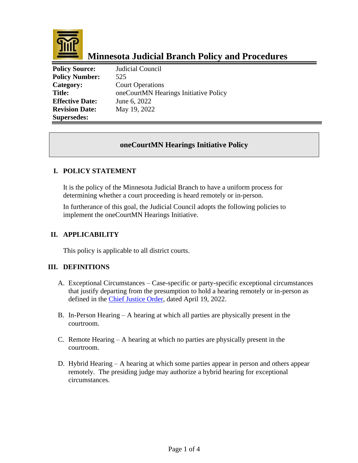

# **Minnesota Judicial Branch Policy and Procedures**

**Policy Source:** Judicial Council **Policy Number:** 525 **Category:** Court Operations **Title:** oneCourtMN Hearings Initiative Policy **Effective Date:** June 6, 2022 **Revision Date:** May 19, 2022 **Supersedes:** 

# **oneCourtMN Hearings Initiative Policy**

### **I. POLICY STATEMENT**

It is the policy of the Minnesota Judicial Branch to have a uniform process for determining whether a court proceeding is heard remotely or in-person.

In furtherance of this goal, the Judicial Council adopts the following policies to implement the oneCourtMN Hearings Initiative.

# **II. APPLICABILITY**

This policy is applicable to all district courts.

#### **III. DEFINITIONS**

- A. Exceptional Circumstances Case-specific or party-specific exceptional circumstances that justify departing from the presumption to hold a hearing remotely or in-person as defined in the Chief [Justice Order,](https://mncourts.gov/mncourtsgov/media/CIOMediaLibrary/COVID-19/041922.pdf) dated April 19, 2022.
- B. In-Person Hearing A hearing at which all parties are physically present in the courtroom.
- C. Remote Hearing A hearing at which no parties are physically present in the courtroom.
- D. Hybrid Hearing A hearing at which some parties appear in person and others appear remotely. The presiding judge may authorize a hybrid hearing for exceptional circumstances.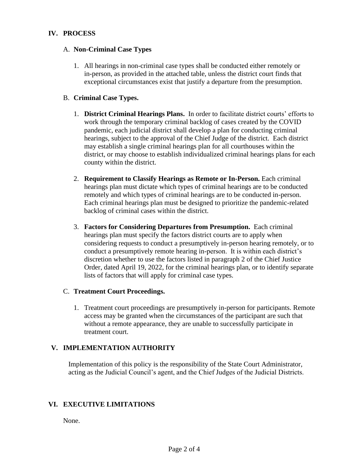# **IV. PROCESS**

#### A. **Non-Criminal Case Types**

1. All hearings in non-criminal case types shall be conducted either remotely or in-person, as provided in the attached table, unless the district court finds that exceptional circumstances exist that justify a departure from the presumption.

# B. **Criminal Case Types.**

- 1. **District Criminal Hearings Plans.** In order to facilitate district courts' efforts to work through the temporary criminal backlog of cases created by the COVID pandemic, each judicial district shall develop a plan for conducting criminal hearings, subject to the approval of the Chief Judge of the district. Each district may establish a single criminal hearings plan for all courthouses within the district, or may choose to establish individualized criminal hearings plans for each county within the district.
- 2. **Requirement to Classify Hearings as Remote or In-Person.** Each criminal hearings plan must dictate which types of criminal hearings are to be conducted remotely and which types of criminal hearings are to be conducted in-person. Each criminal hearings plan must be designed to prioritize the pandemic-related backlog of criminal cases within the district.
- 3. **Factors for Considering Departures from Presumption.** Each criminal hearings plan must specify the factors district courts are to apply when considering requests to conduct a presumptively in-person hearing remotely, or to conduct a presumptively remote hearing in-person. It is within each district's discretion whether to use the factors listed in paragraph 2 of the Chief Justice Order, dated April 19, 2022, for the criminal hearings plan, or to identify separate lists of factors that will apply for criminal case types.

#### C. **Treatment Court Proceedings.**

1. Treatment court proceedings are presumptively in-person for participants. Remote access may be granted when the circumstances of the participant are such that without a remote appearance, they are unable to successfully participate in treatment court.

# **V. IMPLEMENTATION AUTHORITY**

Implementation of this policy is the responsibility of the State Court Administrator, acting as the Judicial Council's agent, and the Chief Judges of the Judicial Districts.

# **VI. EXECUTIVE LIMITATIONS**

None.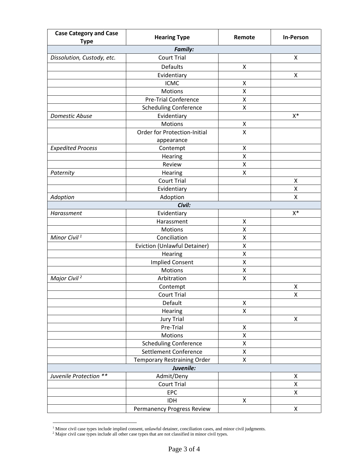| <b>Case Category and Case</b><br><b>Type</b> | <b>Hearing Type</b>                 | Remote | <b>In-Person</b> |  |
|----------------------------------------------|-------------------------------------|--------|------------------|--|
| <b>Family:</b>                               |                                     |        |                  |  |
| Dissolution, Custody, etc.                   | <b>Court Trial</b>                  |        | X                |  |
|                                              | Defaults                            | X      |                  |  |
|                                              | Evidentiary                         |        | Χ                |  |
|                                              | <b>ICMC</b>                         | Χ      |                  |  |
|                                              | Motions                             | Χ      |                  |  |
|                                              | <b>Pre-Trial Conference</b>         | Χ      |                  |  |
|                                              | <b>Scheduling Conference</b>        | X      |                  |  |
| Domestic Abuse                               | Evidentiary                         |        | $X^*$            |  |
|                                              | Motions                             | Χ      |                  |  |
|                                              | <b>Order for Protection-Initial</b> | Χ      |                  |  |
|                                              | appearance                          |        |                  |  |
| <b>Expedited Process</b>                     | Contempt                            | Χ      |                  |  |
|                                              | Hearing                             | Χ      |                  |  |
|                                              | Review                              | Χ      |                  |  |
| Paternity                                    | Hearing                             | Χ      |                  |  |
|                                              | <b>Court Trial</b>                  |        | Χ                |  |
|                                              | Evidentiary                         |        | Χ                |  |
| Adoption                                     | Adoption                            |        | Χ                |  |
|                                              | Civil:                              |        |                  |  |
| Harassment                                   | Evidentiary                         |        | $X^*$            |  |
|                                              | Harassment                          | Χ      |                  |  |
|                                              | Motions                             | Χ      |                  |  |
| Minor Civil <sup>1</sup>                     | Conciliation                        | Χ      |                  |  |
|                                              | Eviction (Unlawful Detainer)        | Χ      |                  |  |
|                                              | Hearing                             | X      |                  |  |
|                                              | <b>Implied Consent</b>              | Χ      |                  |  |
|                                              | <b>Motions</b>                      | Χ      |                  |  |
| Major Civil <sup>2</sup>                     | Arbitration                         | Χ      |                  |  |
|                                              | Contempt<br><b>Court Trial</b>      |        | Χ<br>X           |  |
|                                              | Default                             | Χ      |                  |  |
|                                              | Hearing                             | X      |                  |  |
|                                              | <b>Jury Trial</b>                   |        | X                |  |
|                                              | Pre-Trial                           | X      |                  |  |
|                                              | Motions                             | X      |                  |  |
|                                              | <b>Scheduling Conference</b>        | X      |                  |  |
|                                              | Settlement Conference               | Χ      |                  |  |
|                                              | Temporary Restraining Order         | X      |                  |  |
|                                              | Juvenile:                           |        |                  |  |
| Juvenile Protection **                       | Admit/Deny                          |        | Χ                |  |
|                                              | <b>Court Trial</b>                  |        | X                |  |
|                                              | EPC                                 |        | X                |  |
|                                              | <b>IDH</b>                          | X      |                  |  |
|                                              | Permanency Progress Review          |        | X                |  |

 $1$  Minor civil case types include implied consent, unlawful detainer, conciliation cases, and minor civil judgments.

 $2$  Major civil case types include all other case types that are not classified in minor civil types.